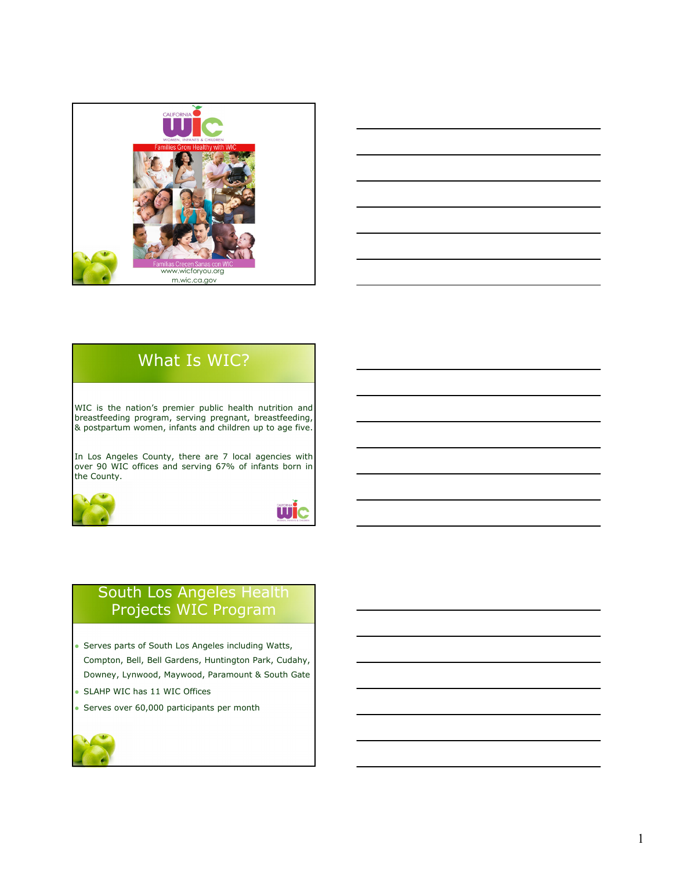



# What Is WIC?

WIC is the nation's premier public health nutrition and breastfeeding program, serving pregnant, breastfeeding, & postpartum women, infants and children up to age five.

In Los Angeles County, there are 7 local agencies with over 90 WIC offices and serving 67% of infants born in the County.





### South Los Angeles Health Projects WIC Program

- Serves parts of South Los Angeles including Watts, Compton, Bell, Bell Gardens, Huntington Park, Cudahy, Downey, Lynwood, Maywood, Paramount & South Gate
- SLAHP WIC has 11 WIC Offices
- Serves over 60,000 participants per month

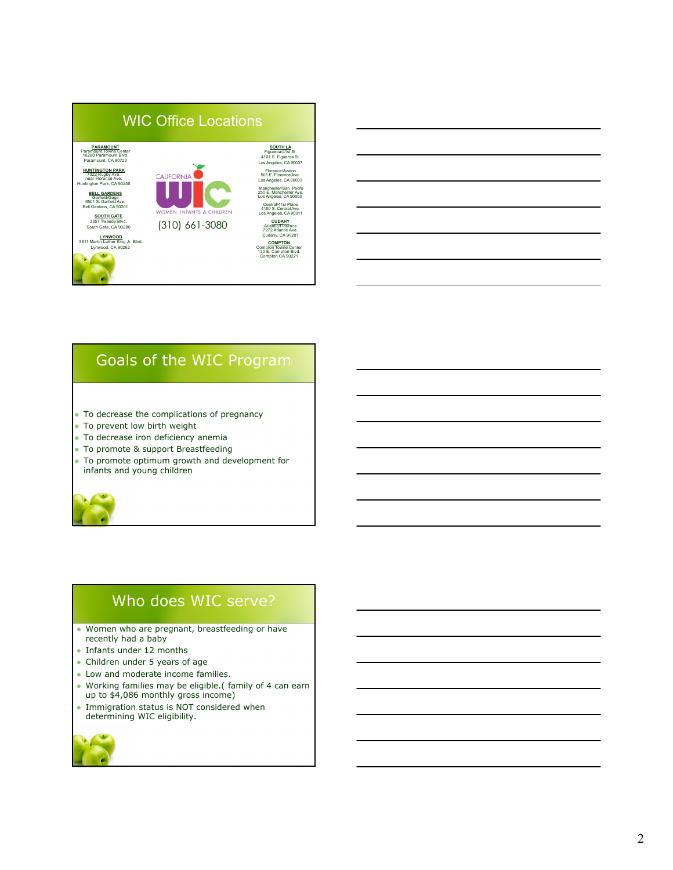

# Goals of the WIC Program

- To decrease the complications of pregnancy
- To prevent low birth weight
- To decrease iron deficiency anemia
- To promote & support Breastfeeding
- To promote optimum growth and development for infants and young children



### Who does WIC serve?

- Women who are pregnant, breastfeeding or have recently had a baby
- Infants under 12 months
- Children under 5 years of age
- Low and moderate income families.
- Working families may be eligible.( family of 4 can earn up to \$4,086 monthly gross income)
- Immigration status is NOT considered when determining WIC eligibility.

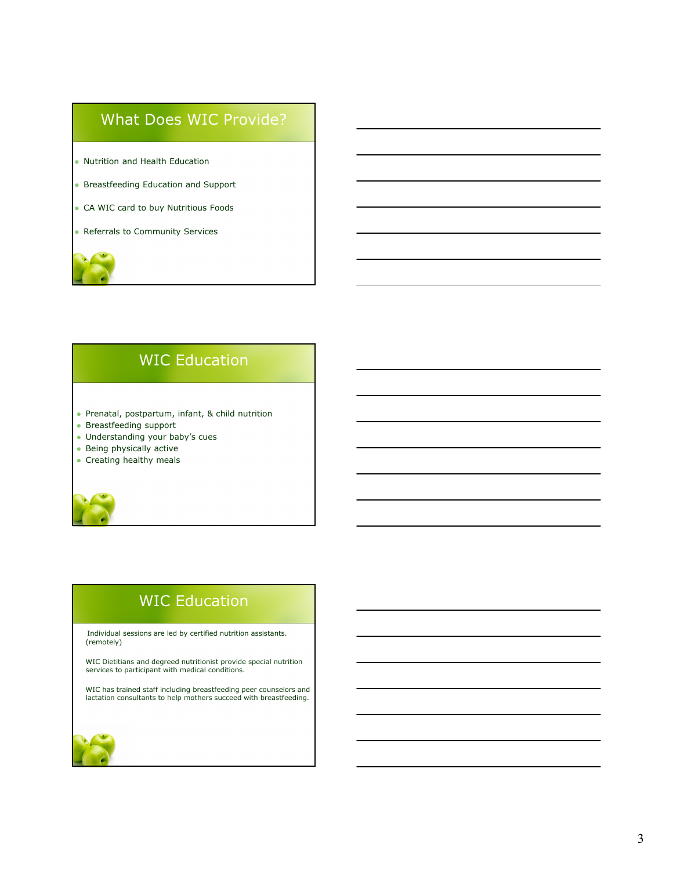### What Does WIC Provide?

- Nutrition and Health Education
- **Breastfeeding Education and Support**
- CA WIC card to buy Nutritious Foods
- Referrals to Community Services

# WIC Education

- Prenatal, postpartum, infant, & child nutrition
- Breastfeeding support
- Understanding your baby's cues
- Being physically active
- Creating healthy meals

# WIC Education

Individual sessions are led by certified nutrition assistants. (remotely)

WIC Dietitians and degreed nutritionist provide special nutrition services to participant with medical conditions.

WIC has trained staff including breastfeeding peer counselors and lactation consultants to help mothers succeed with breastfeeding.

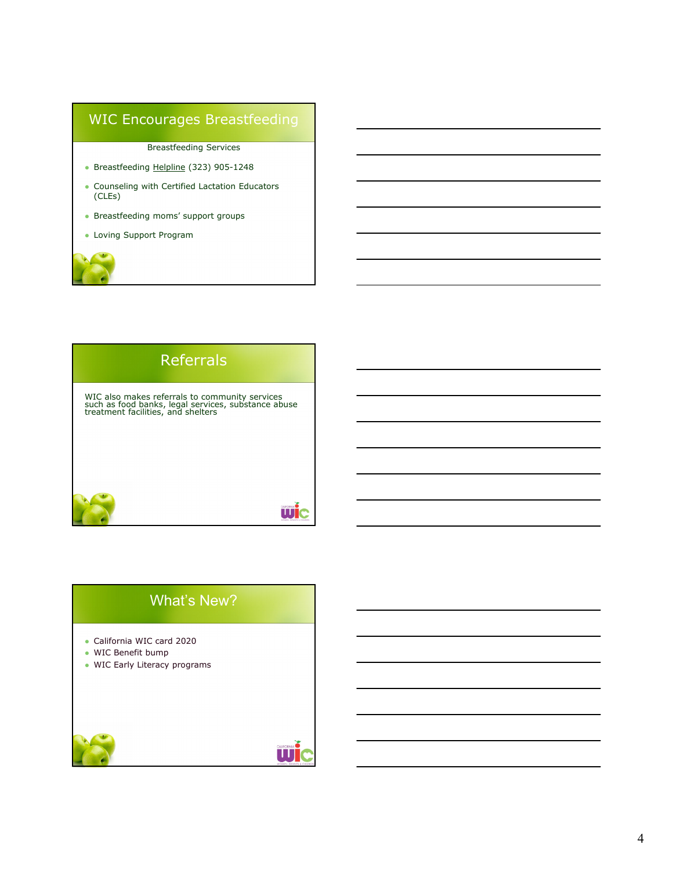### WIC Encourages Breastfeeding

Breastfeeding Services

- Breastfeeding Helpline (323) 905-1248
- Counseling with Certified Lactation Educators (CLEs)
- Breastfeeding moms' support groups
- Loving Support Program



### What's New?

- California WIC card 2020
- WIC Benefit bump
- WIC Early Literacy programs



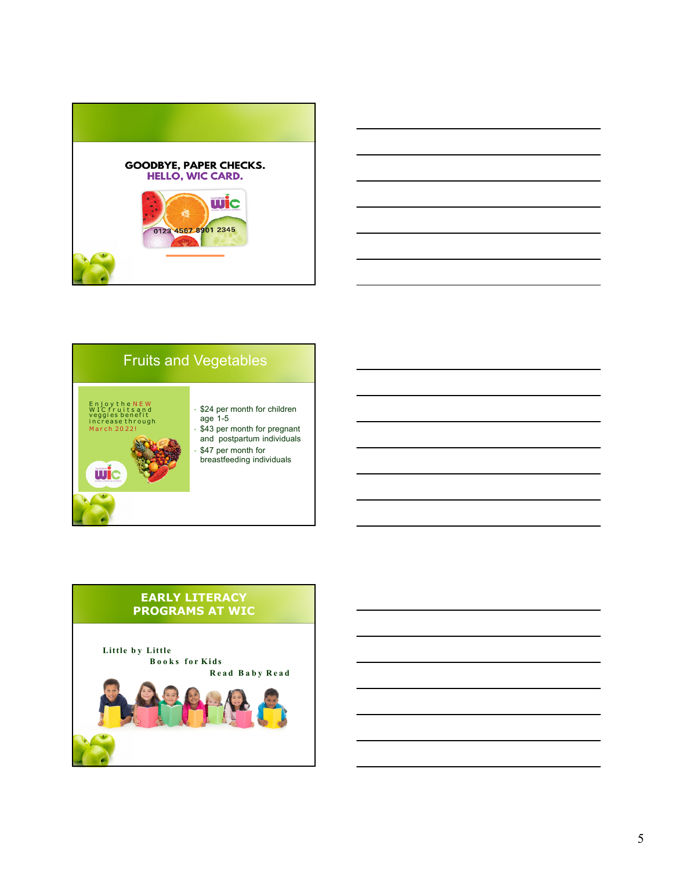